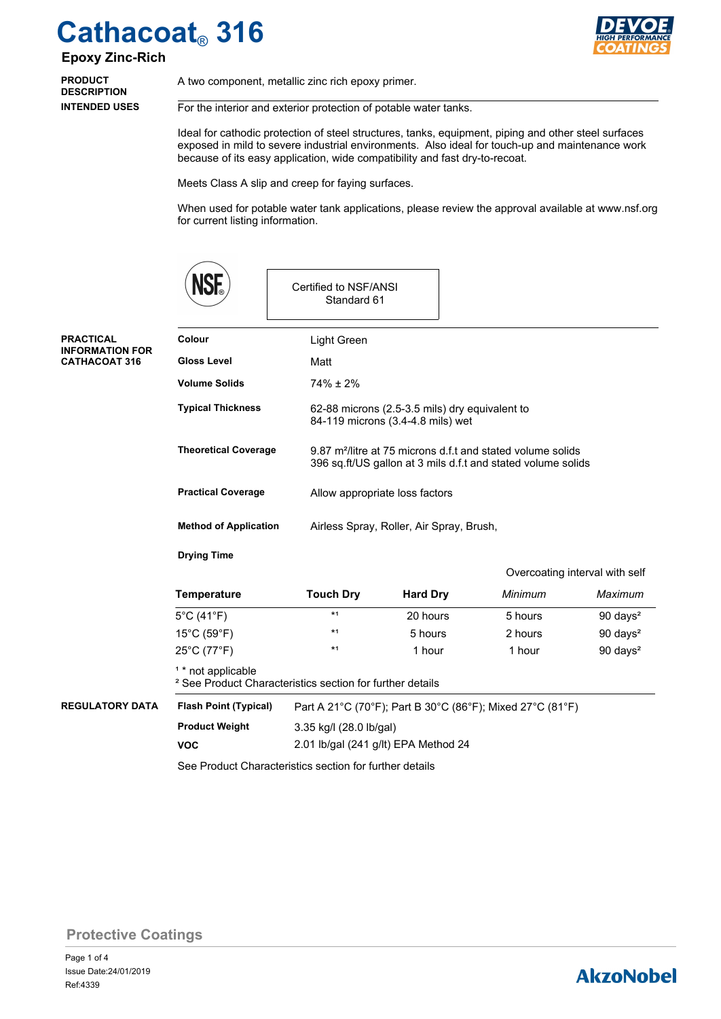## **Epoxy Zinc-Rich**



**DESCRIPTION INTENDED USES**

**PRODUCT** A two component, metallic zinc rich epoxy primer.

For the interior and exterior protection of potable water tanks.

Ideal for cathodic protection of steel structures, tanks, equipment, piping and other steel surfaces exposed in mild to severe industrial environments. Also ideal for touch-up and maintenance work because of its easy application, wide compatibility and fast dry-to-recoat.

Meets Class A slip and creep for faying surfaces.

When used for potable water tank applications, please review the approval available at www.nsf.org for current listing information.

|                                                                    |                                                                                                       | Certified to NSF/ANSI<br>Standard 61                                                                                                                                                                                                                             |                 |         |                                |  |  |
|--------------------------------------------------------------------|-------------------------------------------------------------------------------------------------------|------------------------------------------------------------------------------------------------------------------------------------------------------------------------------------------------------------------------------------------------------------------|-----------------|---------|--------------------------------|--|--|
| <b>PRACTICAL</b><br><b>INFORMATION FOR</b><br><b>CATHACOAT 316</b> | Colour                                                                                                | Light Green                                                                                                                                                                                                                                                      |                 |         |                                |  |  |
|                                                                    | <b>Gloss Level</b>                                                                                    | Matt                                                                                                                                                                                                                                                             |                 |         |                                |  |  |
|                                                                    | <b>Volume Solids</b>                                                                                  | $74\% \pm 2\%$                                                                                                                                                                                                                                                   |                 |         |                                |  |  |
|                                                                    | <b>Typical Thickness</b>                                                                              | 62-88 microns (2.5-3.5 mils) dry equivalent to<br>84-119 microns (3.4-4.8 mils) wet<br>9.87 m <sup>2</sup> /litre at 75 microns d.f.t and stated volume solids<br>396 sq.ft/US gallon at 3 mils d.f.t and stated volume solids<br>Allow appropriate loss factors |                 |         |                                |  |  |
|                                                                    | <b>Theoretical Coverage</b>                                                                           |                                                                                                                                                                                                                                                                  |                 |         |                                |  |  |
|                                                                    | <b>Practical Coverage</b>                                                                             |                                                                                                                                                                                                                                                                  |                 |         |                                |  |  |
|                                                                    | <b>Method of Application</b><br>Airless Spray, Roller, Air Spray, Brush,                              |                                                                                                                                                                                                                                                                  |                 |         |                                |  |  |
|                                                                    | <b>Drying Time</b>                                                                                    |                                                                                                                                                                                                                                                                  |                 |         |                                |  |  |
|                                                                    |                                                                                                       |                                                                                                                                                                                                                                                                  |                 |         | Overcoating interval with self |  |  |
|                                                                    | <b>Temperature</b>                                                                                    | <b>Touch Dry</b>                                                                                                                                                                                                                                                 | <b>Hard Dry</b> | Minimum | Maximum                        |  |  |
|                                                                    | $5^{\circ}$ C (41 $^{\circ}$ F)                                                                       | $*1$                                                                                                                                                                                                                                                             | 20 hours        | 5 hours | $90 \text{ days}^2$            |  |  |
|                                                                    | 15°C (59°F)                                                                                           | $*1$                                                                                                                                                                                                                                                             | 5 hours         | 2 hours | $90 \text{ days}^2$            |  |  |
|                                                                    | 25°C (77°F)                                                                                           | $*1$                                                                                                                                                                                                                                                             | 1 hour          | 1 hour  | 90 days <sup>2</sup>           |  |  |
|                                                                    | <sup>1</sup> * not applicable<br><sup>2</sup> See Product Characteristics section for further details |                                                                                                                                                                                                                                                                  |                 |         |                                |  |  |
| <b>REGULATORY DATA</b>                                             | <b>Flash Point (Typical)</b>                                                                          | Part A 21°C (70°F); Part B 30°C (86°F); Mixed 27°C (81°F)                                                                                                                                                                                                        |                 |         |                                |  |  |
|                                                                    | <b>Product Weight</b>                                                                                 | 3.35 kg/l (28.0 lb/gal)                                                                                                                                                                                                                                          |                 |         |                                |  |  |
|                                                                    | <b>VOC</b>                                                                                            | 2.01 lb/gal (241 g/lt) EPA Method 24                                                                                                                                                                                                                             |                 |         |                                |  |  |
|                                                                    | See Product Characteristics section for further details                                               |                                                                                                                                                                                                                                                                  |                 |         |                                |  |  |

**Protective Coatings**

# **AkzoNobel**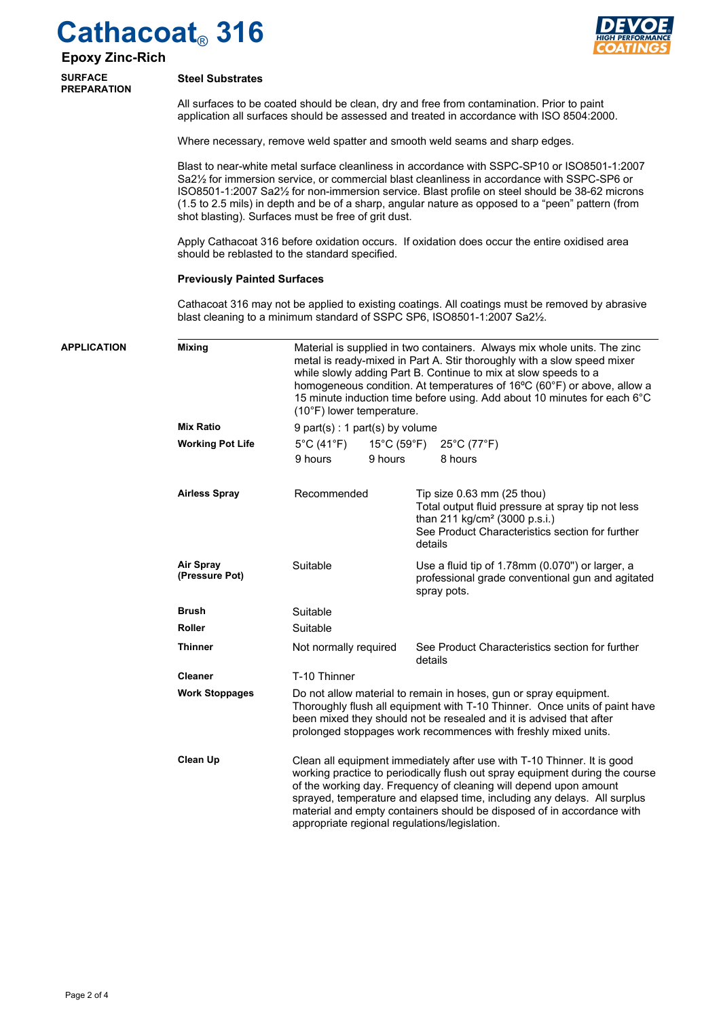

**Epoxy Zinc-Rich SURFACE PREPARATION**

### **Steel Substrates**

All surfaces to be coated should be clean, dry and free from contamination. Prior to paint application all surfaces should be assessed and treated in accordance with ISO 8504:2000.

Where necessary, remove weld spatter and smooth weld seams and sharp edges.

Blast to near-white metal surface cleanliness in accordance with SSPC-SP10 or ISO8501-1:2007 Sa2½ for immersion service, or commercial blast cleanliness in accordance with SSPC-SP6 or ISO8501-1:2007 Sa2½ for non-immersion service. Blast profile on steel should be 38-62 microns (1.5 to 2.5 mils) in depth and be of a sharp, angular nature as opposed to a "peen" pattern (from shot blasting). Surfaces must be free of grit dust.

Apply Cathacoat 316 before oxidation occurs. If oxidation does occur the entire oxidised area should be reblasted to the standard specified.

### **Previously Painted Surfaces**

Cathacoat 316 may not be applied to existing coatings. All coatings must be removed by abrasive blast cleaning to a minimum standard of SSPC SP6, ISO8501-1:2007 Sa2½.

| APPLICATION | <b>Mixing</b>                      | Material is supplied in two containers. Always mix whole units. The zinc<br>metal is ready-mixed in Part A. Stir thoroughly with a slow speed mixer<br>while slowly adding Part B. Continue to mix at slow speeds to a<br>homogeneous condition. At temperatures of 16°C (60°F) or above, allow a<br>15 minute induction time before using. Add about 10 minutes for each 6°C<br>(10°F) lower temperature.                          |         |                                                                                                                                                                                                |                                  |  |
|-------------|------------------------------------|-------------------------------------------------------------------------------------------------------------------------------------------------------------------------------------------------------------------------------------------------------------------------------------------------------------------------------------------------------------------------------------------------------------------------------------|---------|------------------------------------------------------------------------------------------------------------------------------------------------------------------------------------------------|----------------------------------|--|
|             | <b>Mix Ratio</b>                   | $9$ part(s) : 1 part(s) by volume                                                                                                                                                                                                                                                                                                                                                                                                   |         |                                                                                                                                                                                                |                                  |  |
|             | <b>Working Pot Life</b>            | $5^{\circ}$ C (41 $^{\circ}$ F)<br>$15^{\circ}$ C (59 $^{\circ}$ F)                                                                                                                                                                                                                                                                                                                                                                 |         |                                                                                                                                                                                                | $25^{\circ}$ C (77 $^{\circ}$ F) |  |
|             |                                    | 9 hours                                                                                                                                                                                                                                                                                                                                                                                                                             | 9 hours |                                                                                                                                                                                                | 8 hours                          |  |
|             | <b>Airless Spray</b>               | Recommended<br>Suitable                                                                                                                                                                                                                                                                                                                                                                                                             |         | Tip size $0.63$ mm $(25$ thou)<br>Total output fluid pressure at spray tip not less<br>than 211 kg/cm <sup>2</sup> (3000 p.s.i.)<br>See Product Characteristics section for further<br>details |                                  |  |
|             | <b>Air Spray</b><br>(Pressure Pot) |                                                                                                                                                                                                                                                                                                                                                                                                                                     |         | Use a fluid tip of 1.78mm (0.070") or larger, a<br>professional grade conventional gun and agitated<br>spray pots.                                                                             |                                  |  |
|             | <b>Brush</b>                       | Suitable                                                                                                                                                                                                                                                                                                                                                                                                                            |         |                                                                                                                                                                                                |                                  |  |
|             | Roller                             | Suitable                                                                                                                                                                                                                                                                                                                                                                                                                            |         |                                                                                                                                                                                                |                                  |  |
|             | <b>Thinner</b>                     | Not normally required                                                                                                                                                                                                                                                                                                                                                                                                               |         | See Product Characteristics section for further<br>details                                                                                                                                     |                                  |  |
|             | <b>Cleaner</b>                     | T-10 Thinner                                                                                                                                                                                                                                                                                                                                                                                                                        |         |                                                                                                                                                                                                |                                  |  |
|             | <b>Work Stoppages</b>              | Do not allow material to remain in hoses, gun or spray equipment.<br>Thoroughly flush all equipment with T-10 Thinner. Once units of paint have<br>been mixed they should not be resealed and it is advised that after<br>prolonged stoppages work recommences with freshly mixed units.                                                                                                                                            |         |                                                                                                                                                                                                |                                  |  |
|             | <b>Clean Up</b>                    | Clean all equipment immediately after use with T-10 Thinner. It is good<br>working practice to periodically flush out spray equipment during the course<br>of the working day. Frequency of cleaning will depend upon amount<br>sprayed, temperature and elapsed time, including any delays. All surplus<br>material and empty containers should be disposed of in accordance with<br>appropriate regional regulations/legislation. |         |                                                                                                                                                                                                |                                  |  |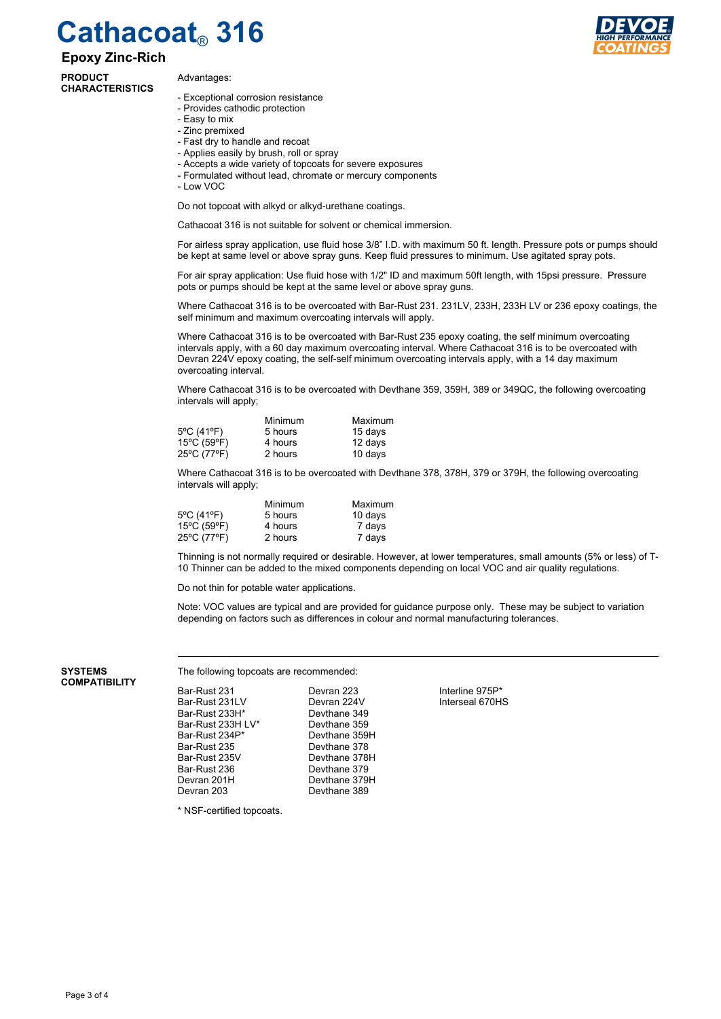# **Epoxy Zinc-Rich**

**PRODUCT CHARACTERISTICS**

### Advantages:

- Exceptional corrosion resistance
- Provides cathodic protection
- Easy to mix
- Zinc premixed
- Fast dry to handle and recoat
- Applies easily by brush, roll or spray
- Accepts a wide variety of topcoats for severe exposures
- Formulated without lead, chromate or mercury components
- Low VOC

Do not topcoat with alkyd or alkyd-urethane coatings.

Cathacoat 316 is not suitable for solvent or chemical immersion.

For airless spray application, use fluid hose 3/8" I.D. with maximum 50 ft. length. Pressure pots or pumps should be kept at same level or above spray guns. Keep fluid pressures to minimum. Use agitated spray pots.

For air spray application: Use fluid hose with 1/2" ID and maximum 50ft length, with 15psi pressure. Pressure pots or pumps should be kept at the same level or above spray guns.

Where Cathacoat 316 is to be overcoated with Bar-Rust 231. 231LV, 233H, 233H LV or 236 epoxy coatings, the self minimum and maximum overcoating intervals will apply.

Where Cathacoat 316 is to be overcoated with Bar-Rust 235 epoxy coating, the self minimum overcoating intervals apply, with a 60 day maximum overcoating interval. Where Cathacoat 316 is to be overcoated with Devran 224V epoxy coating, the self-self minimum overcoating intervals apply, with a 14 day maximum overcoating interval.

Where Cathacoat 316 is to be overcoated with Devthane 359, 359H, 389 or 349QC, the following overcoating intervals will apply;

|             | Minimum | Maximum |
|-------------|---------|---------|
| 5°C (41°F)  | 5 hours | 15 days |
| 15°C (59°F) | 4 hours | 12 days |
| 25°C (77°F) | 2 hours | 10 days |

Where Cathacoat 316 is to be overcoated with Devthane 378, 378H, 379 or 379H, the following overcoating intervals will apply;

|             | Minimum | Maximum |
|-------------|---------|---------|
| 5°C (41°F)  | 5 hours | 10 days |
| 15°C (59°F) | 4 hours | 7 days  |
| 25°C (77°F) | 2 hours | 7 days  |

Thinning is not normally required or desirable. However, at lower temperatures, small amounts (5% or less) of T-10 Thinner can be added to the mixed components depending on local VOC and air quality regulations.

Do not thin for potable water applications.

Note: VOC values are typical and are provided for guidance purpose only. These may be subject to variation depending on factors such as differences in colour and normal manufacturing tolerances.

#### **SYSTEMS COMPATIBILITY**

The following topcoats are recommended:

Devthane 379

Devthane 389

Bar-Rust 231 **Devran 223** Interline 975P\*<br>Bar-Rust 231LV Devran 224V Bar-Rust 270HS Bar-Rust 231LV Devran 224V<br>Bar-Rust 233H\* Devthane 349 Bar-Rust 233H\* Devthane 349<br>Bar-Rust 233H LV\* Devthane 359 Bar-Rust 233H LV\* Bar-Rust 234P\* Devthane 359H<br>Bar-Rust 235 Devthane 378 Bar-Rust 235 Devthane 378<br>Bar-Rust 235V Devthane 378 Bar-Rust 235V Devthane 378H Devran 201H Devthane 379H<br>Devran 203 Devthane 389

\* NSF-certified topcoats.